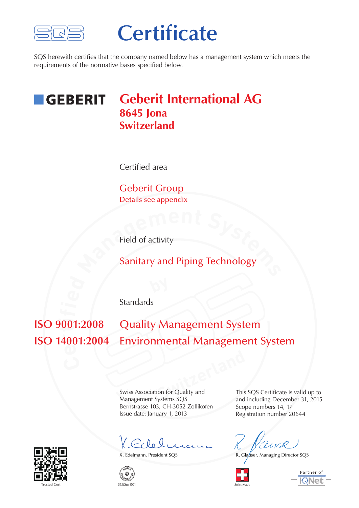

# **Certificate**

SQS herewith certifies that the company named below has a management system which meets the requirements of the normative bases specified below.

#### **Geberit International AG GEBERIT 8645 Jona Switzerland**

Certified area

Geberit Group Details see appendix

Field of activity

**Field of activity**<br> **M**<br> **Sanitary and Piping Technology** Sanitary and Piping Technology

Standards

**e ISO 14001:2004** Environmental Management System  $\mathbf{v}$ **i Quality Management System** 

**Switzerland**<br> **Switzerland**<br> **Switzerland**<br> **Switzerland**<br> **Switzerland**<br> **Switzerland**<br> **Switzerland**<br> **Switzerland**<br> **Switzerland**<br> **Switzerland**<br> **Switzerland**<br> **Switzerland**<br> **Switzerland**<br> **Switzerland** Swiss Association for Quality and Management Systems SQS Bernstrasse 103, CH-3052 Zollikofen Issue date: January 1, 2013

X. Colele



 $\widetilde{\mathcal{S}}$ **W** $\mathsf{I}\mathcal{S}$ **<sup>E</sup> <sup>R</sup> <sup>T</sup>IFICAT<sup>I</sup>O<sup>N</sup>** This SQS Certificate is valid up to and including December 31, 2015 Scope numbers 14, 17 Registration number 20644

X. Edelmann, President SQS R. Glauser, Managing Director SQS





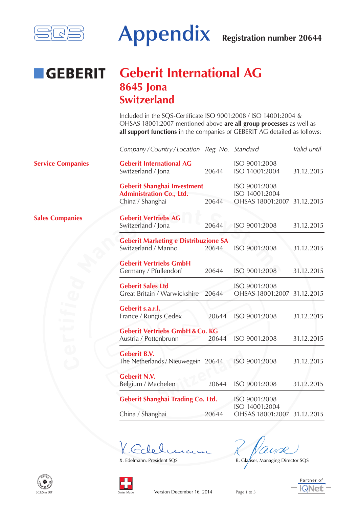

### **Geberit International AG GEBERIT 8645 Jona Switzerland**

Included in the SQS-Certificate ISO 9001:2008 / ISO 14001:2004 & OHSAS 18001:2007 mentioned above **are all group processes** as well as **all support functions** in the companies of GEBERIT AG detailed as follows:

|                                    | Company/Country/Location Reg. No. Standard                                                |       |                                                                | Valid until |
|------------------------------------|-------------------------------------------------------------------------------------------|-------|----------------------------------------------------------------|-------------|
| <b>Service Companies</b>           | <b>Geberit International AG</b><br>Switzerland / Jona                                     | 20644 | ISO 9001:2008<br>ISO 14001:2004                                | 31.12.2015  |
|                                    | <b>Geberit Shanghai Investment</b><br><b>Administration Co., Ltd.</b><br>China / Shanghai | 20644 | ISO 9001:2008<br>ISO 14001:2004<br>OHSAS 18001:2007 31.12.2015 |             |
| <b>Sales Companies</b><br>المستوفي | <b>Geberit Vertriebs AG</b><br>Switzerland / Jona                                         | 20644 | ISO 9001:2008                                                  | 31.12.2015  |
|                                    | <b>Geberit Marketing e Distribuzione SA</b><br>Switzerland / Manno                        | 20644 | ISO 9001:2008                                                  | 31.12.2015  |
|                                    | <b>Geberit Vertriebs GmbH</b><br>Germany / Pfullendorf                                    | 20644 | ISO 9001:2008                                                  | 31.12.2015  |
|                                    | <b>Geberit Sales Ltd</b><br>Great Britain / Warwickshire                                  | 20644 | ISO 9001:2008<br>OHSAS 18001:2007 31.12.2015                   |             |
|                                    | Geberit s.a.r.l.<br>France / Rungis Cedex                                                 | 20644 | ISO 9001:2008                                                  | 31.12.2015  |
|                                    | <b>Geberit Vertriebs GmbH &amp; Co. KG</b><br>Austria / Pottenbrunn                       | 20644 | ISO 9001:2008                                                  | 31.12.2015  |
|                                    | <b>Geberit B.V.</b><br>The Netherlands / Nieuwegein 20644                                 |       | ISO 9001:2008                                                  | 31.12.2015  |
|                                    | <b>Geberit N.V.</b><br>Belgium / Machelen                                                 | 20644 | ISO 9001:2008                                                  | 31.12.2015  |
|                                    | Geberit Shanghai Trading Co. Ltd.<br>China / Shanghai                                     | 20644 | ISO 9001:2008<br>ISO 14001:2004<br>OHSAS 18001:2007            | 31.12.2015  |
|                                    |                                                                                           |       |                                                                |             |

X. Edelmann, President SQS R. Glauser, Managing Director SQS



Swiss Made

 $SCFSm 001$ 

 $\mathcal{S}$ **W** $\mathcal{S}$ **<sup>E</sup> <sup>R</sup> <sup>T</sup>IFICAT<sup>I</sup>O<sup>N</sup>**



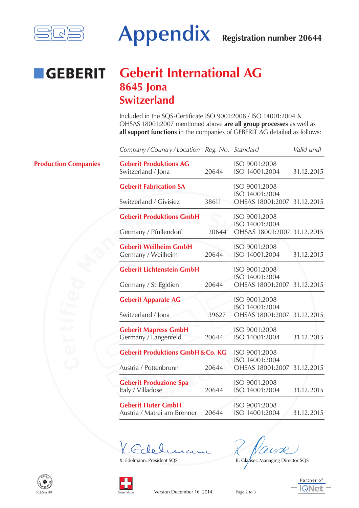

### **Geberit International AG GEBERIT 8645 Jona Switzerland**

Included in the SQS-Certificate ISO 9001:2008 / ISO 14001:2004 & OHSAS 18001:2007 mentioned above **are all group processes** as well as **all support functions** in the companies of GEBERIT AG detailed as follows:

|                             | Company/Country/Location Reg. No. Standard               |       |                                               | Valid until |
|-----------------------------|----------------------------------------------------------|-------|-----------------------------------------------|-------------|
| <b>Production Companies</b> | <b>Geberit Produktions AG</b><br>Switzerland / Jona      | 20644 | ISO 9001:2008<br>ISO 14001:2004               | 31.12.2015  |
|                             | <b>Geberit Fabrication SA</b>                            |       | ISO 9001:2008<br>ISO 14001:2004               |             |
|                             | Switzerland / Givisiez                                   | 38611 | OHSAS 18001:2007 31.12.2015                   |             |
|                             | <b>Geberit Produktions GmbH</b>                          |       | ISO 9001:2008<br>ISO 14001:2004               |             |
|                             | Germany / Pfullendorf                                    | 20644 | OHSAS 18001:2007 31.12.2015                   |             |
|                             | <b>Geberit Weilheim GmbH</b>                             |       | ISO 9001:2008                                 |             |
|                             | Germany / Weilheim                                       | 20644 | ISO 14001:2004                                | 31.12.2015  |
|                             | <b>Geberit Lichtenstein GmbH</b>                         |       | ISO 9001:2008<br>ISO 14001:2004               |             |
|                             | Germany / St. Egidien                                    | 20644 | OHSAS 18001:2007 31.12.2015                   |             |
|                             | <b>Geberit Apparate AG</b>                               |       | ISO 9001:2008<br>ISO 14001:2004               |             |
|                             | Switzerland / Jona                                       | 39627 | OHSAS 18001:2007 31.12.2015                   |             |
|                             | <b>Geberit Mapress GmbH</b>                              |       | ISO 9001:2008                                 |             |
|                             | Germany / Langenfeld                                     | 20644 | ISO 14001:2004                                | 31.12.2015  |
|                             | <b>Geberit Produktions GmbH &amp; Co. KG</b>             |       | ISO 9001:2008                                 |             |
|                             | Austria / Pottenbrunn                                    | 20644 | ISO 14001:2004<br>OHSAS 18001:2007 31.12.2015 |             |
|                             | <b>Geberit Produzione Spa</b>                            |       | ISO 9001:2008                                 |             |
|                             | Italy / Villadose                                        | 20644 | ISO 14001:2004                                | 31.12.2015  |
|                             | <b>Geberit Huter GmbH</b><br>Austria / Matrei am Brenner | 20644 | ISO 9001:2008<br>ISO 14001:2004               | 31.12.2015  |
|                             |                                                          |       |                                               |             |

X. Edelmann, President SQS R. Glauser, Managing Director SQS



 $SCFSm 00$ 

 $\mathcal{S}$ **W** $\mathcal{S}$ **<sup>E</sup> <sup>R</sup> <sup>T</sup>IFICAT<sup>I</sup>O<sup>N</sup>**